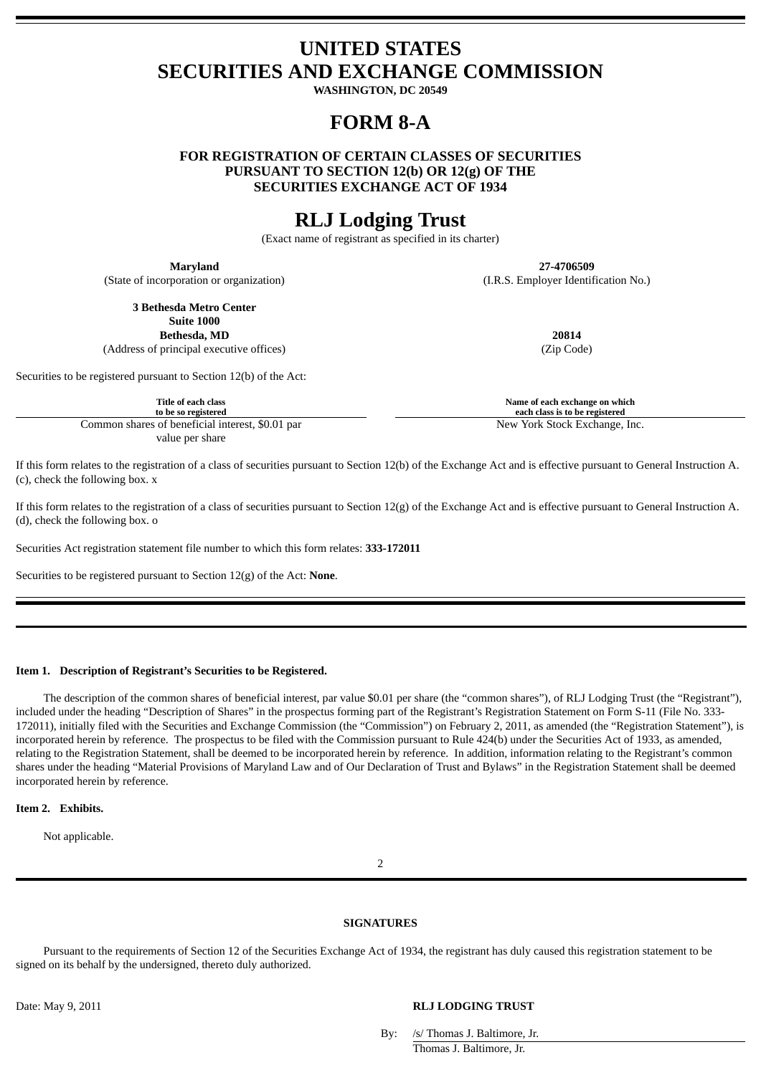# **UNITED STATES SECURITIES AND EXCHANGE COMMISSION**

**WASHINGTON, DC 20549**

# **FORM 8-A**

**FOR REGISTRATION OF CERTAIN CLASSES OF SECURITIES PURSUANT TO SECTION 12(b) OR 12(g) OF THE SECURITIES EXCHANGE ACT OF 1934**

# **RLJ Lodging Trust**

(Exact name of registrant as specified in its charter)

(State of incorporation or organization) (I.R.S. Employer Identification No.)

**Maryland 27-4706509**

**3 Bethesda Metro Center Suite 1000**

**Bethesda, MD 20814** (Address of principal executive offices) (Zip Code)

Securities to be registered pursuant to Section 12(b) of the Act:

Common shares of beneficial interest, \$0.01 par New York Stock Exchange, Inc. value per share

If this form relates to the registration of a class of securities pursuant to Section 12(b) of the Exchange Act and is effective pursuant to General Instruction A. (c), check the following box. x

If this form relates to the registration of a class of securities pursuant to Section 12(g) of the Exchange Act and is effective pursuant to General Instruction A. (d), check the following box. o

Securities Act registration statement file number to which this form relates: **333-172011**

Securities to be registered pursuant to Section 12(g) of the Act: **None**.

### **Item 1. Description of Registrant's Securities to be Registered.**

The description of the common shares of beneficial interest, par value \$0.01 per share (the "common shares"), of RLJ Lodging Trust (the "Registrant"), included under the heading "Description of Shares" in the prospectus forming part of the Registrant's Registration Statement on Form S-11 (File No. 333- 172011), initially filed with the Securities and Exchange Commission (the "Commission") on February 2, 2011, as amended (the "Registration Statement"), is incorporated herein by reference. The prospectus to be filed with the Commission pursuant to Rule 424(b) under the Securities Act of 1933, as amended, relating to the Registration Statement, shall be deemed to be incorporated herein by reference. In addition, information relating to the Registrant's common shares under the heading "Material Provisions of Maryland Law and of Our Declaration of Trust and Bylaws" in the Registration Statement shall be deemed incorporated herein by reference.

#### **Item 2. Exhibits.**

Not applicable.

 $\overline{2}$ 

### **SIGNATURES**

Pursuant to the requirements of Section 12 of the Securities Exchange Act of 1934, the registrant has duly caused this registration statement to be signed on its behalf by the undersigned, thereto duly authorized.

### Date: May 9, 2011 **RLJ LODGING TRUST**

By: /s/ Thomas J. Baltimore, Jr. Thomas J. Baltimore, Jr.

**Title of each class Name of each exchange on which to be so registered each class is to be registered**